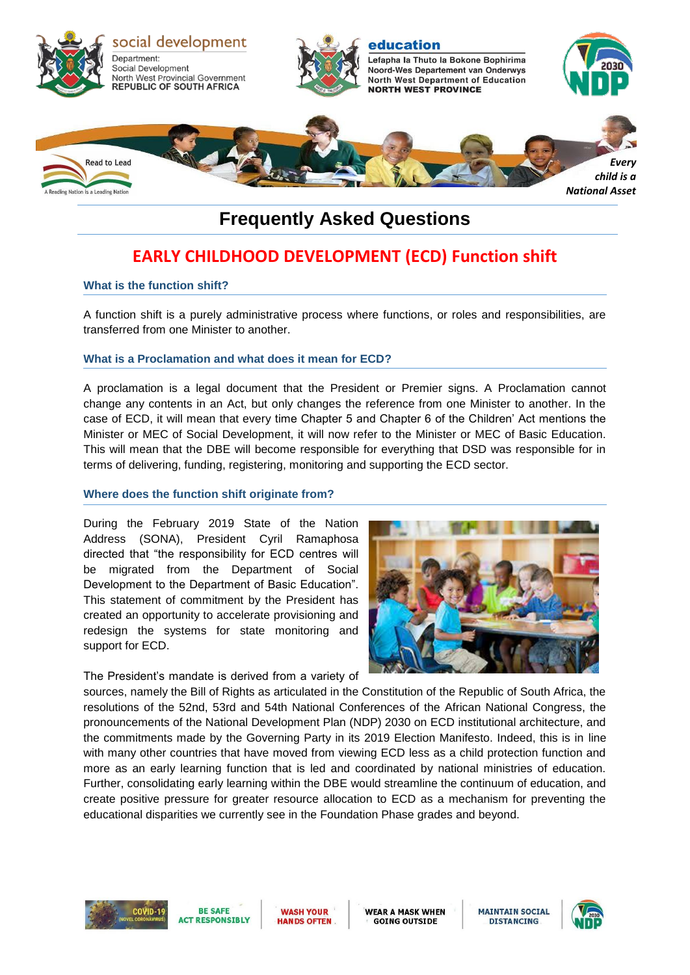

# **Frequently Asked Questions**

# **EARLY CHILDHOOD DEVELOPMENT (ECD) Function shift**

### **What is the function shift?**

A function shift is a purely administrative process where functions, or roles and responsibilities, are transferred from one Minister to another.

# **What is a Proclamation and what does it mean for ECD?**

A proclamation is a legal document that the President or Premier signs. A Proclamation cannot change any contents in an Act, but only changes the reference from one Minister to another. In the case of ECD, it will mean that every time Chapter 5 and Chapter 6 of the Children' Act mentions the Minister or MEC of Social Development, it will now refer to the Minister or MEC of Basic Education. This will mean that the DBE will become responsible for everything that DSD was responsible for in terms of delivering, funding, registering, monitoring and supporting the ECD sector.

#### **Where does the function shift originate from?**

During the February 2019 State of the Nation Address (SONA), President Cyril Ramaphosa directed that "the responsibility for ECD centres will be migrated from the Department of Social Development to the Department of Basic Education". This statement of commitment by the President has created an opportunity to accelerate provisioning and redesign the systems for state monitoring and support for ECD.

The President's mandate is derived from a variety of



sources, namely the Bill of Rights as articulated in the Constitution of the Republic of South Africa, the resolutions of the 52nd, 53rd and 54th National Conferences of the African National Congress, the pronouncements of the National Development Plan (NDP) 2030 on ECD institutional architecture, and the commitments made by the Governing Party in its 2019 Election Manifesto. Indeed, this is in line with many other countries that have moved from viewing ECD less as a child protection function and more as an early learning function that is led and coordinated by national ministries of education. Further, consolidating early learning within the DBE would streamline the continuum of education, and create positive pressure for greater resource allocation to ECD as a mechanism for preventing the educational disparities we currently see in the Foundation Phase grades and beyond.





**WASH YOUR HANDS OFTEN**  **WEAR A MASK WHEN GOING OUTSIDE** 

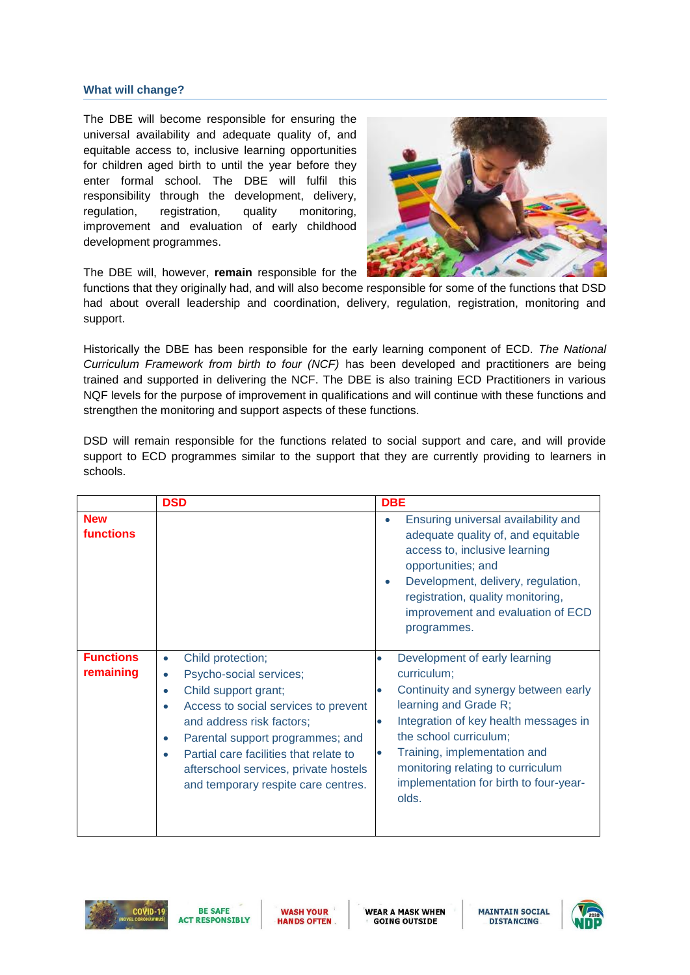### **What will change?**

The DBE will become responsible for ensuring the universal availability and adequate quality of, and equitable access to, inclusive learning opportunities for children aged birth to until the year before they enter formal school. The DBE will fulfil this responsibility through the development, delivery, regulation, registration, quality monitoring, improvement and evaluation of early childhood development programmes.



The DBE will, however, **remain** responsible for the

functions that they originally had, and will also become responsible for some of the functions that DSD had about overall leadership and coordination, delivery, regulation, registration, monitoring and support.

Historically the DBE has been responsible for the early learning component of ECD. *The National Curriculum Framework from birth to four (NCF)* has been developed and practitioners are being trained and supported in delivering the NCF. The DBE is also training ECD Practitioners in various NQF levels for the purpose of improvement in qualifications and will continue with these functions and strengthen the monitoring and support aspects of these functions.

|                                | <b>DSD</b>                                                                                                                                                                                                                                                                                                                        | <b>DBE</b>                                                                                                                                                                                                                                                                                               |
|--------------------------------|-----------------------------------------------------------------------------------------------------------------------------------------------------------------------------------------------------------------------------------------------------------------------------------------------------------------------------------|----------------------------------------------------------------------------------------------------------------------------------------------------------------------------------------------------------------------------------------------------------------------------------------------------------|
| <b>New</b><br><b>functions</b> |                                                                                                                                                                                                                                                                                                                                   | Ensuring universal availability and<br>$\bullet$<br>adequate quality of, and equitable<br>access to, inclusive learning<br>opportunities; and<br>Development, delivery, regulation,<br>۰<br>registration, quality monitoring,<br>improvement and evaluation of ECD<br>programmes.                        |
| <b>Functions</b><br>remaining  | Child protection;<br>Psycho-social services;<br>Child support grant;<br>$\bullet$<br>Access to social services to prevent<br>and address risk factors;<br>Parental support programmes; and<br>$\bullet$<br>Partial care facilities that relate to<br>afterschool services, private hostels<br>and temporary respite care centres. | Development of early learning<br>curriculum;<br>Continuity and synergy between early<br>learning and Grade R;<br>Integration of key health messages in<br>the school curriculum;<br>Training, implementation and<br>monitoring relating to curriculum<br>implementation for birth to four-year-<br>olds. |

DSD will remain responsible for the functions related to social support and care, and will provide support to ECD programmes similar to the support that they are currently providing to learners in schools.



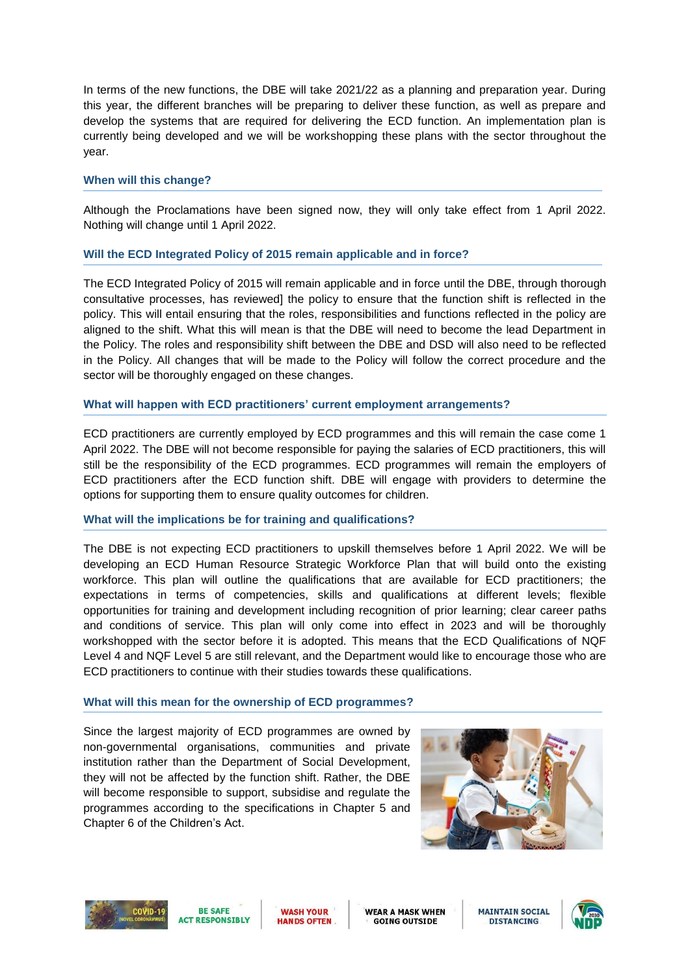In terms of the new functions, the DBE will take 2021/22 as a planning and preparation year. During this year, the different branches will be preparing to deliver these function, as well as prepare and develop the systems that are required for delivering the ECD function. An implementation plan is currently being developed and we will be workshopping these plans with the sector throughout the year.

## **When will this change?**

Although the Proclamations have been signed now, they will only take effect from 1 April 2022. Nothing will change until 1 April 2022.

# **Will the ECD Integrated Policy of 2015 remain applicable and in force?**

The ECD Integrated Policy of 2015 will remain applicable and in force until the DBE, through thorough consultative processes, has reviewed] the policy to ensure that the function shift is reflected in the policy. This will entail ensuring that the roles, responsibilities and functions reflected in the policy are aligned to the shift. What this will mean is that the DBE will need to become the lead Department in the Policy. The roles and responsibility shift between the DBE and DSD will also need to be reflected in the Policy. All changes that will be made to the Policy will follow the correct procedure and the sector will be thoroughly engaged on these changes.

# **What will happen with ECD practitioners' current employment arrangements?**

ECD practitioners are currently employed by ECD programmes and this will remain the case come 1 April 2022. The DBE will not become responsible for paying the salaries of ECD practitioners, this will still be the responsibility of the ECD programmes. ECD programmes will remain the employers of ECD practitioners after the ECD function shift. DBE will engage with providers to determine the options for supporting them to ensure quality outcomes for children.

# **What will the implications be for training and qualifications?**

The DBE is not expecting ECD practitioners to upskill themselves before 1 April 2022. We will be developing an ECD Human Resource Strategic Workforce Plan that will build onto the existing workforce. This plan will outline the qualifications that are available for ECD practitioners; the expectations in terms of competencies, skills and qualifications at different levels; flexible opportunities for training and development including recognition of prior learning; clear career paths and conditions of service. This plan will only come into effect in 2023 and will be thoroughly workshopped with the sector before it is adopted. This means that the ECD Qualifications of NQF Level 4 and NQF Level 5 are still relevant, and the Department would like to encourage those who are ECD practitioners to continue with their studies towards these qualifications.

# **What will this mean for the ownership of ECD programmes?**

Since the largest majority of ECD programmes are owned by non-governmental organisations, communities and private institution rather than the Department of Social Development, they will not be affected by the function shift. Rather, the DBE will become responsible to support, subsidise and regulate the programmes according to the specifications in Chapter 5 and Chapter 6 of the Children's Act.







**WASH YOUR HANDS OFTEN**  **WEAR A MASK WHEN GOING OUTSIDE** 

**MAINTAIN SOCIAL DISTANCING** 

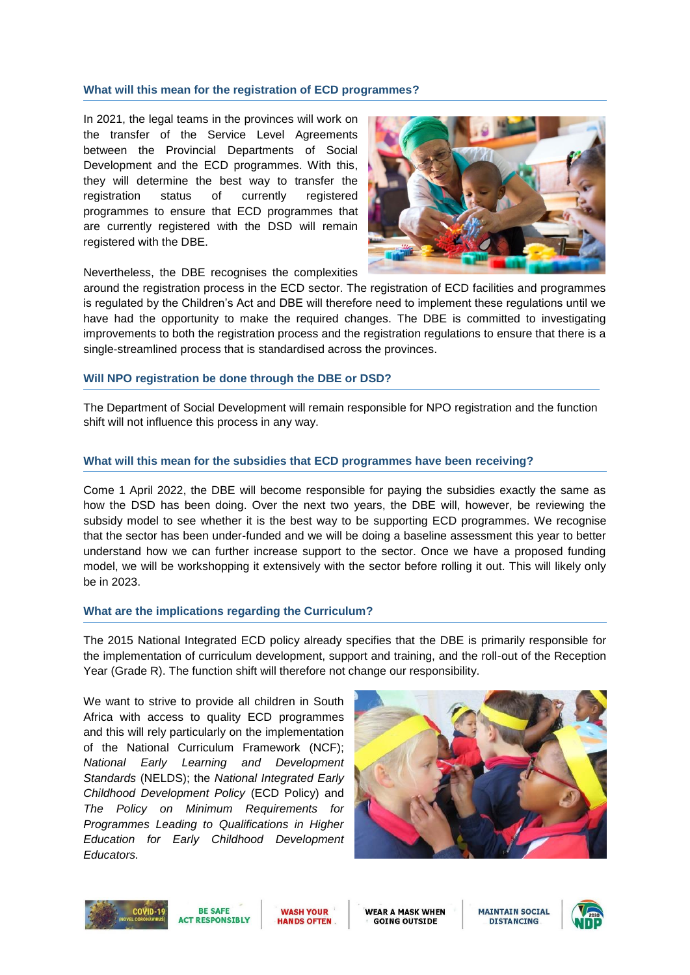#### **What will this mean for the registration of ECD programmes?**

In 2021, the legal teams in the provinces will work on the transfer of the Service Level Agreements between the Provincial Departments of Social Development and the ECD programmes. With this, they will determine the best way to transfer the registration status of currently registered programmes to ensure that ECD programmes that are currently registered with the DSD will remain registered with the DBE.



Nevertheless, the DBE recognises the complexities

around the registration process in the ECD sector. The registration of ECD facilities and programmes is regulated by the Children's Act and DBE will therefore need to implement these regulations until we have had the opportunity to make the required changes. The DBE is committed to investigating improvements to both the registration process and the registration regulations to ensure that there is a single-streamlined process that is standardised across the provinces.

#### **Will NPO registration be done through the DBE or DSD?**

The Department of Social Development will remain responsible for NPO registration and the function shift will not influence this process in any way.

#### **What will this mean for the subsidies that ECD programmes have been receiving?**

Come 1 April 2022, the DBE will become responsible for paying the subsidies exactly the same as how the DSD has been doing. Over the next two years, the DBE will, however, be reviewing the subsidy model to see whether it is the best way to be supporting ECD programmes. We recognise that the sector has been under-funded and we will be doing a baseline assessment this year to better understand how we can further increase support to the sector. Once we have a proposed funding model, we will be workshopping it extensively with the sector before rolling it out. This will likely only be in 2023.

#### **What are the implications regarding the Curriculum?**

The 2015 National Integrated ECD policy already specifies that the DBE is primarily responsible for the implementation of curriculum development, support and training, and the roll-out of the Reception Year (Grade R). The function shift will therefore not change our responsibility.

We want to strive to provide all children in South Africa with access to quality ECD programmes and this will rely particularly on the implementation of the National Curriculum Framework (NCF); *National Early Learning and Development Standards* (NELDS); the *National Integrated Early Childhood Development Policy* (ECD Policy) and *The Policy on Minimum Requirements for Programmes Leading to Qualifications in Higher Education for Early Childhood Development Educators.* 









**WEAR A MASK WHEN GOING OUTSIDE**